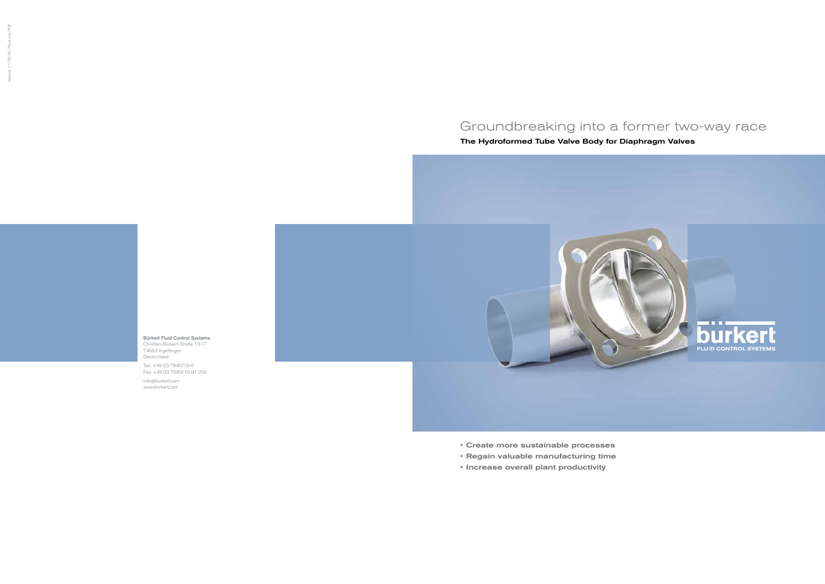Bürkert Fluid Control Systems Christian-Bürkert-Straße 13-17 74653 Ingelfingen Deutschland

Tel.: +49 (0) 7940/10-0 Fax: +49 (0) 7940/10-91 204

info@burkert.com www.burkert.com

# Groundbreaking into a former two-way race

The Hydroformed Tube Valve Body for Diaphragm Valves



- Create more sustainable processes
- Regain valuable manufacturing time
- Increase overall plant productivity